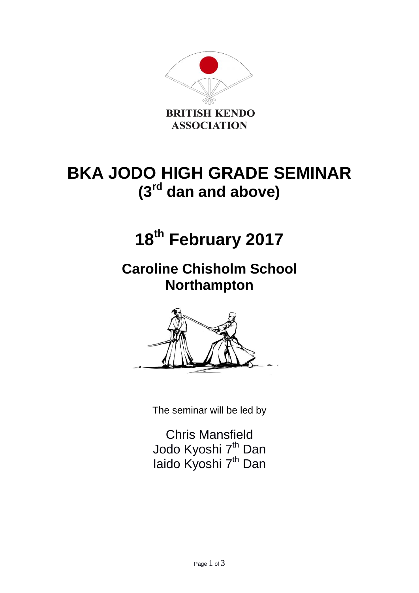

## **BKA JODO HIGH GRADE SEMINAR (3rd dan and above)**

# **18th February 2017**

**Caroline Chisholm School Northampton**



The seminar will be led by

Chris Mansfield Jodo Kyoshi 7<sup>th</sup> Dan laido Kyoshi 7<sup>th</sup> Dan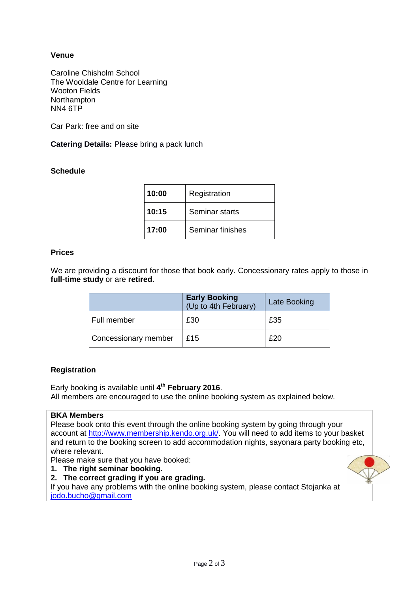## **Venue**

Caroline Chisholm School The Wooldale Centre for Learning Wooton Fields **Northampton** NN4 6TP

Car Park: free and on site

**Catering Details:** Please bring a pack lunch

### **Schedule**

| 10:00 | Registration     |
|-------|------------------|
| 10:15 | Seminar starts   |
| 17:00 | Seminar finishes |

#### **Prices**

We are providing a discount for those that book early. Concessionary rates apply to those in **full-time study** or are **retired.**

|                             | <b>Early Booking</b><br>(Up to 4th February) | Late Booking |
|-----------------------------|----------------------------------------------|--------------|
| Full member                 | £30                                          | £35          |
| <b>Concessionary member</b> | £15                                          | £20          |

#### **Registration**

Early booking is available until **4 th February 2016**. All members are encouraged to use the online booking system as explained below.

#### **BKA Members**

Please book onto this event through the online booking system by going through your account at [http://www.membership.kendo.org.uk/.](http://www.membership.kendo.org.uk/) You will need to add items to your basket and return to the booking screen to add accommodation nights, sayonara party booking etc, where relevant.

Please make sure that you have booked:

- **1. The right seminar booking.**
- **2. The correct grading if you are grading.**

If you have any problems with the online booking system, please contact Stojanka at [jodo.bucho@gmail.com](mailto:jodo.bucho@gmail.com)